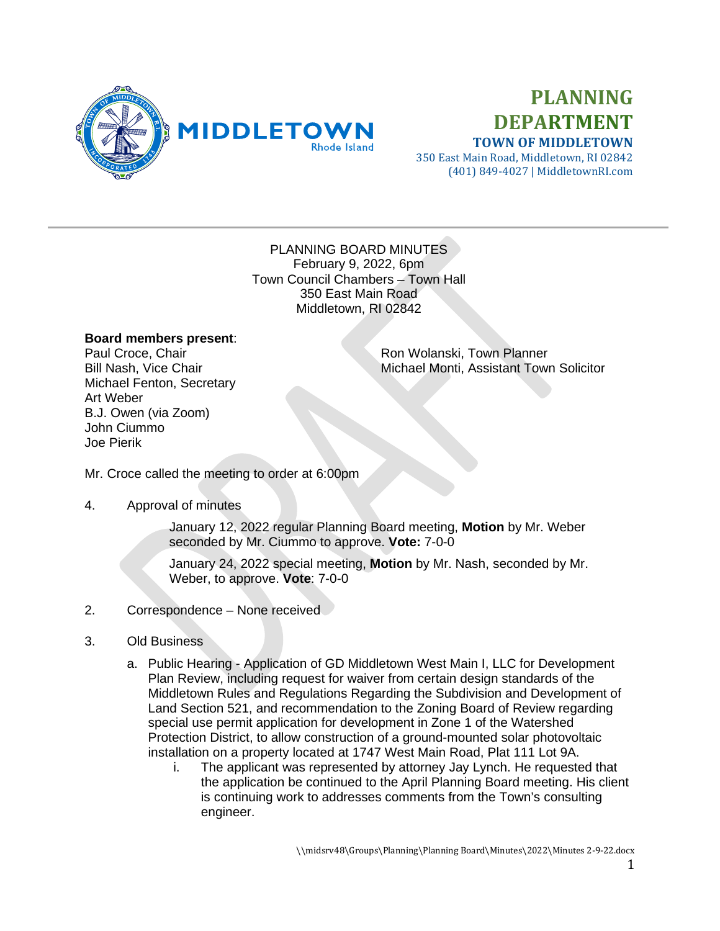

# **PLANNING DEPARTMENT TOWN OF MIDDLETOWN**

350 East Main Road, Middletown, RI 02842 (401) 849-4027 | MiddletownRI.com

#### PLANNING BOARD MINUTES February 9, 2022, 6pm Town Council Chambers – Town Hall 350 East Main Road Middletown, RI 02842

## **Board members present**:

Michael Fenton, Secretary Art Weber B.J. Owen (via Zoom) John Ciummo Joe Pierik

Paul Croce, Chair **Paul Croce, Chair** Ron Wolanski, Town Planner<br>Bill Nash, Vice Chair **Ron Ron Richael Monti, Assistant Town** Michael Monti, Assistant Town Solicitor

Mr. Croce called the meeting to order at 6:00pm

## 4. Approval of minutes

January 12, 2022 regular Planning Board meeting, **Motion** by Mr. Weber seconded by Mr. Ciummo to approve. **Vote:** 7-0-0

January 24, 2022 special meeting, **Motion** by Mr. Nash, seconded by Mr. Weber, to approve. **Vote**: 7-0-0

## 2. Correspondence – None received

- 3. Old Business
	- a. Public Hearing Application of GD Middletown West Main I, LLC for Development Plan Review, including request for waiver from certain design standards of the Middletown Rules and Regulations Regarding the Subdivision and Development of Land Section 521, and recommendation to the Zoning Board of Review regarding special use permit application for development in Zone 1 of the Watershed Protection District, to allow construction of a ground-mounted solar photovoltaic installation on a property located at 1747 West Main Road, Plat 111 Lot 9A.
		- i. The applicant was represented by attorney Jay Lynch. He requested that the application be continued to the April Planning Board meeting. His client is continuing work to addresses comments from the Town's consulting engineer.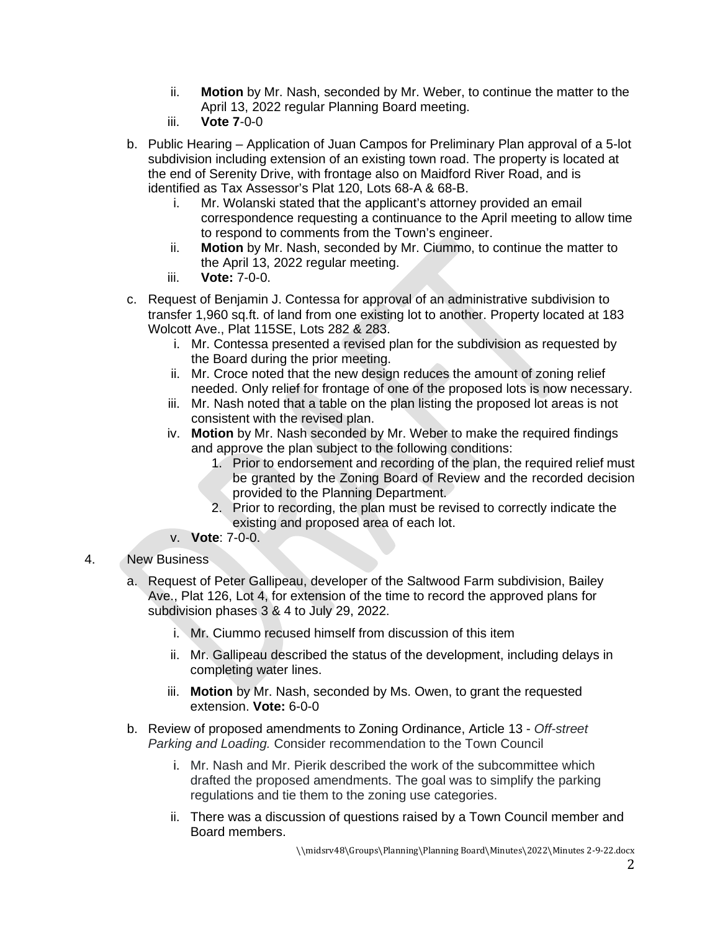- ii. **Motion** by Mr. Nash, seconded by Mr. Weber, to continue the matter to the April 13, 2022 regular Planning Board meeting.
- iii. **Vote 7**-0-0
- b. Public Hearing Application of Juan Campos for Preliminary Plan approval of a 5-lot subdivision including extension of an existing town road. The property is located at the end of Serenity Drive, with frontage also on Maidford River Road, and is identified as Tax Assessor's Plat 120, Lots 68-A & 68-B.
	- i. Mr. Wolanski stated that the applicant's attorney provided an email correspondence requesting a continuance to the April meeting to allow time to respond to comments from the Town's engineer.
	- ii. **Motion** by Mr. Nash, seconded by Mr. Ciummo, to continue the matter to the April 13, 2022 regular meeting.
	- iii. **Vote:** 7-0-0.
- c. Request of Benjamin J. Contessa for approval of an administrative subdivision to transfer 1,960 sq.ft. of land from one existing lot to another. Property located at 183 Wolcott Ave., Plat 115SE, Lots 282 & 283.
	- i. Mr. Contessa presented a revised plan for the subdivision as requested by the Board during the prior meeting.
	- ii. Mr. Croce noted that the new design reduces the amount of zoning relief needed. Only relief for frontage of one of the proposed lots is now necessary.
	- iii. Mr. Nash noted that a table on the plan listing the proposed lot areas is not consistent with the revised plan.
	- iv. **Motion** by Mr. Nash seconded by Mr. Weber to make the required findings and approve the plan subject to the following conditions:
		- 1. Prior to endorsement and recording of the plan, the required relief must be granted by the Zoning Board of Review and the recorded decision provided to the Planning Department.
		- 2. Prior to recording, the plan must be revised to correctly indicate the existing and proposed area of each lot.
	- v. **Vote**: 7-0-0.

# 4. New Business

- a. Request of Peter Gallipeau, developer of the Saltwood Farm subdivision, Bailey Ave., Plat 126, Lot 4, for extension of the time to record the approved plans for subdivision phases 3 & 4 to July 29, 2022.
	- i. Mr. Ciummo recused himself from discussion of this item
	- ii. Mr. Gallipeau described the status of the development, including delays in completing water lines.
	- iii. **Motion** by Mr. Nash, seconded by Ms. Owen, to grant the requested extension. **Vote:** 6-0-0
- b. Review of proposed amendments to Zoning Ordinance, Article 13 *Off-street Parking and Loading.* Consider recommendation to the Town Council
	- i. Mr. Nash and Mr. Pierik described the work of the subcommittee which drafted the proposed amendments. The goal was to simplify the parking regulations and tie them to the zoning use categories.
	- ii. There was a discussion of questions raised by a Town Council member and Board members.